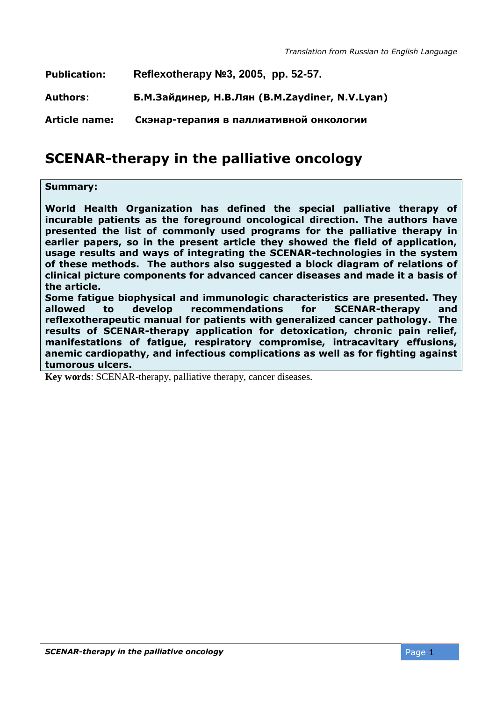| <b>Publication:</b>  | Reflexotherapy №3, 2005, pp. 52-57.            |
|----------------------|------------------------------------------------|
| Authors:             | Б.М.Зайдинер, Н.В.Лян (B.M.Zaydiner, N.V.Lyan) |
| <b>Article name:</b> | Скэнар-терапия в паллиативной онкологии        |

# **SCENAR-therapy in the palliative oncology**

#### **Summary:**

**World Health Organization has defined the special palliative therapy of incurable patients as the foreground oncological direction. The authors have presented the list of commonly used programs for the palliative therapy in earlier papers, so in the present article they showed the field of application, usage results and ways of integrating the SCENAR-technologies in the system of these methods. The authors also suggested a block diagram of relations of clinical picture components for advanced cancer diseases and made it a basis of the article.**

**Some fatigue biophysical and immunologic characteristics are presented. They allowed to develop recommendations for SCENAR-therapy and reflexotherapeutic manual for patients with generalized cancer pathology. The results of SCENAR-therapy application for detoxication, chronic pain relief, manifestations of fatigue, respiratory compromise, intracavitary effusions, anemic cardiopathy, and infectious complications as well as for fighting against tumorous ulcers.** 

**Key words**: SCENAR-therapy, palliative therapy, cancer diseases.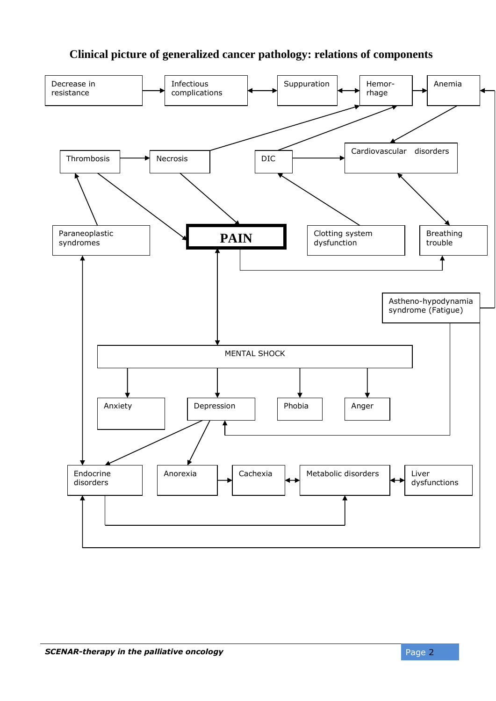## **Clinical picture of generalized cancer pathology: relations of components**

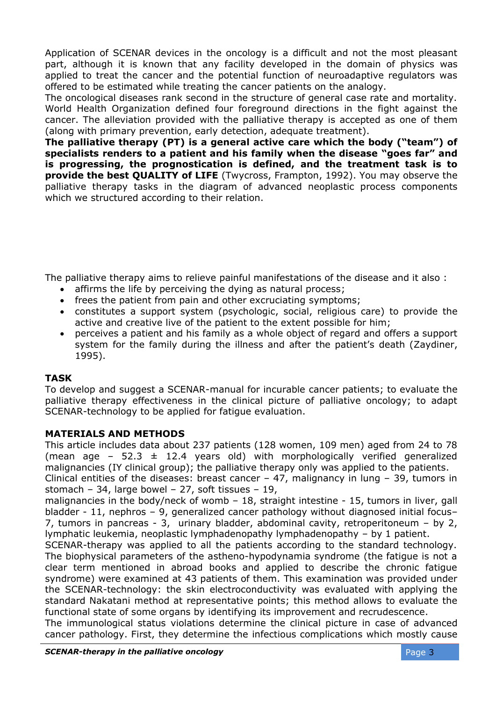Application of SCENAR devices in the oncology is a difficult and not the most pleasant part, although it is known that any facility developed in the domain of physics was applied to treat the cancer and the potential function of neuroadaptive regulators was offered to be estimated while treating the cancer patients on the analogy.

The oncological diseases rank second in the structure of general case rate and mortality. World Health Organization defined four foreground directions in the fight against the cancer. The alleviation provided with the palliative therapy is accepted as one of them (along with primary prevention, early detection, adequate treatment).

**The palliative therapy (PT) is a general active care which the body ("team") of specialists renders to a patient and his family when the disease "goes far" and is progressing, the prognostication is defined, and the treatment task is to provide the best QUALITY of LIFE** (Twycross, Frampton, 1992). You may observe the palliative therapy tasks in the diagram of advanced neoplastic process components which we structured according to their relation.

The palliative therapy aims to relieve painful manifestations of the disease and it also :

- affirms the life by perceiving the dying as natural process;
- frees the patient from pain and other excruciating symptoms;
- constitutes a support system (psychologic, social, religious care) to provide the active and creative live of the patient [to the extent possible](http://www.multitran.ru/c/m.exe?t=4346013_1_2) for him;
- perceives a patient and his family as a whole object of regard and offers a support system for the family during the illness and after the patient's death (Zaydiner, 1995).

#### **TASK**

To develop and suggest a SCENAR-manual for incurable cancer patients; to evaluate the palliative therapy effectiveness in the clinical picture of palliative oncology; to adapt SCENAR-technology to be applied for fatigue evaluation.

#### **MATERIALS AND METHODS**

This article includes data about 237 patients (128 women, 109 men) aged from 24 to 78 (mean age – 52.3  $\pm$  12.4 years old) with morphologically verified generalized malignancies (IY clinical group); the palliative therapy only was applied to the patients. Clinical entities of the diseases: breast cancer  $-47$ , malignancy in lung  $-39$ , tumors in

stomach – 34, large bowel – 27, soft tissues – 19, malignancies in the body/neck of womb – 18, straight intestine - 15, tumors in liver, gall

bladder - 11, nephros – 9, generalized cancer pathology without diagnosed initial focus– 7, tumors in pancreas - 3, urinary bladder, abdominal cavity, retroperitoneum – by 2, lymphatic leukemia, neoplastic lymphadenopathy lymphadenopathy – by 1 patient.

SCENAR-therapy was applied to all the patients according to the standard technology. The biophysical parameters of the astheno-hypodynamia syndrome (the fatigue is not a clear term mentioned in abroad books and applied to describe the chronic fatigue syndrome) were examined at 43 patients of them. This examination was provided under the SCENAR-technology: the skin electroconductivity was evaluated with applying the standard Nakatani method at representative points; this method allows to evaluate the functional state of some organs by identifying its improvement and [recrudescence.](http://www.multitran.ru/c/m.exe?t=4017640_1_2)

The immunological status violations determine the clinical picture in case of advanced cancer pathology. First, they determine the infectious complications which mostly cause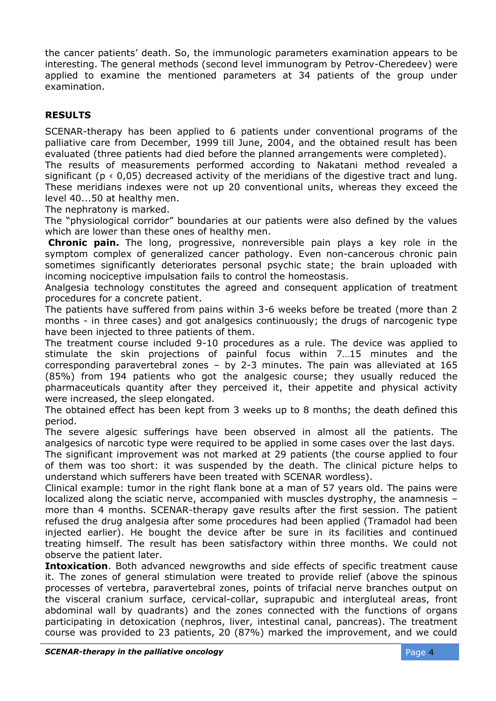the cancer patients' death. So, the immunologic parameters examination appears to be interesting. The general methods (second level [immunogram](http://www.multitran.ru/c/m.exe?t=4542872_1_2) by Petrov-Cheredeev) were applied to examine the mentioned parameters at 34 patients of the group under examination.

### **RESULTS**

SCENAR-therapy has been applied to 6 patients under conventional programs of the palliative care from December, 1999 till June, 2004, and the obtained result has been evaluated (three patients had died before the planned arrangements were completed).

The results of measurements performed according to Nakatani method revealed a significant ( $p \le 0.05$ ) decreased activity of the meridians of the digestive tract and lung. These meridians indexes were not up 20 conventional units, whereas theу exceed the level 40...50 at healthy men.

The [nephratony](http://www.multitran.ru/c/m.exe?t=346814_1_2) is marked.

The "physiological corridor" boundaries at our patients were also defined by the values which are lower than these ones of healthy men.

**Chronic pain.** The long, progressive, nonreversible pain plays a key role in the symptom complex of generalized cancer pathology. Even non-cancerous chronic pain sometimes significantly deteriorates personal psychic state; the brain uploaded with incoming nociceptive impulsation fails to control the homeostasis.

Analgesia technology constitutes the agreed and consequent application of treatment procedures for a concrete patient.

The patients have suffered from pains within 3-6 weeks before be treated (more than 2 months - in three cases) and got analgesics continuously; the drugs of narcogenic type have been injected to three patients of them.

The treatment course included 9-10 procedures as a rule. The device was applied to stimulate the skin projections of painful focus within 7…15 minutes and the corresponding paravertebral zones – by 2-3 minutes. The pain was alleviated at 165 (85%) from 194 patients who got the analgesic course; they usually reduced the pharmaceuticals quantity after they perceived it, their appetite and physical activity were increased, the sleep elongated.

The obtained effect has been kept from 3 weeks up to 8 months; the death defined this period.

The severe algesic sufferings have been observed in almost all the patients. The analgesics of narcotic type were required to be applied in some cases over the last days.

The significant improvement was not marked at 29 patients (the course applied to four of them was too short: it was suspended by the death. The clinical picture helps to understand which sufferers have been treated with SCENAR wordless).

Clinical example: tumor in the right [flank bone](http://www.multitran.ru/c/m.exe?t=320936_1_2) at a man of 57 years old. The pains were localized along the sciatic nerve, accompanied with muscles dystrophy, the anamnesis – more than 4 months. SCENAR-therapy gave results after the first session. The patient refused the drug analgesia after some procedures had been applied (Tramadol had been injected earlier). He bought the device after be sure in its facilities and continued treating himself. The result has been satisfactory within three months. We could not observe the patient later.

**Intoxication**. Both advanced newgrowths and side effects of specific treatment cause it. The zones of general stimulation were treated to provide relief (above the spinous processes of vertebra, paravertebral zones, points of [trifacial nerve](http://www.multitran.ru/c/m.exe?t=303394_1_2) branches output on the visceral cranium surface, cervical-collar, suprapubic and intergluteal areas, front abdominal wall by quadrants) and the zones connected with the functions of organs participating in detoxication (nephros, liver, intestinal canal, pancreas). The treatment course was provided to 23 patients, 20 (87%) marked the improvement, and we could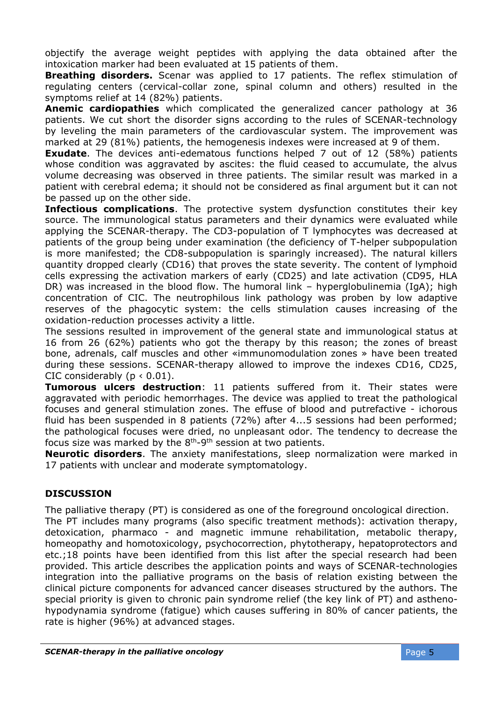objectify the average weight peptides with applying the data obtained after the intoxication marker had been evaluated at 15 patients of them.

**Breathing disorders.** Scenar was applied to 17 patients. The reflex stimulation of regulating centers (cervical-collar zone, spinal column and others) resulted in the symptoms relief at 14 (82%) patients.

**Anemic cardiopathies** which complicated the generalized cancer pathology at 36 patients. We cut short the disorder signs according to the rules of SCENAR-technology by leveling the main parameters of the cardiovascular system. The improvement was marked at 29 (81%) patients, the hemogenesis indexes were increased at 9 of them.

**Exudate**. The devices anti-edematous functions helped 7 out of 12 (58%) patients whose condition was aggravated by ascites: the fluid ceased to accumulate, the alvus volume decreasing was observed in three patients. The similar result was marked in a patient with [cerebral edema;](http://www.multitran.ru/c/m.exe?t=3860868_1_2) it should not be considered as final argument but it can not be passed up on the other side.

**Infectious complications**. The protective system dysfunction constitutes their key source. The immunological status parameters and their dynamics were evaluated while applying the SCENAR-therapy. The CD3-population of [T lymphocytes](http://www.multitran.ru/c/m.exe?t=1146432_1_2) was decreased at patients of the group being under examination (the deficiency of T-helper subpopulation is more manifested; the CD8-subpopulation is sparingly increased). The [natural killers](http://www.multitran.ru/c/m.exe?t=2748596_1_2) quantity dropped clearly (CD16) that proves the state severity. The content of [lymphoid](http://www.multitran.ru/c/m.exe?t=323533_1_2)  [cells](http://www.multitran.ru/c/m.exe?t=323533_1_2) expressing the activation markers of early (CD25) and late activation (CD95, HLA DR) was increased in the blood flow. The humoral link – hyperglobulinemia (IgA); high concentration of CIC. The neutrophilous link pathology was proben by low adaptive reserves of the phagocytic system: the cells stimulation causes increasing of the oxidation-reduction processes activity a little.

The sessions resulted in improvement of the general state and immunological status at 16 from 26 (62%) patients who got the therapy by this reason; the zones of breast bone, adrenals, calf muscles and other «immunomodulation zones » have been treated during these sessions. SCENAR-therapy allowed to improve the indexes CD16, CD25, CIC considerably  $(p < 0.01)$ .

**Tumorous ulcers destruction**: 11 patients suffered from it. Their states were aggravated with periodic hemorrhages. The device was applied to treat the pathological focuses and general stimulation zones. The effuse of blood and putrefactive - ichorous fluid has been suspended in 8 patients (72%) after 4...5 sessions had been performed; the pathological focuses were dried, no unpleasant odor. The tendency to decrease the focus size was marked by the  $8<sup>th</sup>$ -9<sup>th</sup> session at two patients.

**[Neurotic disorders](http://www.multitran.ru/c/m.exe?t=4316221_1_2)**. The anxiety manifestations, sleep normalization were marked in 17 patients with unclear and moderate [symptomatology.](http://www.multitran.ru/c/m.exe?t=2609051_1_2)

#### **DISCUSSION**

The palliative therapy (PT) is considered as one of the foreground oncological direction. The PT includes many programs (also specific treatment methods): activation therapy, detoxication, pharmaco - and magnetic immune rehabilitation, metabolic therapy, homeopathy and homotoxicology, psychocorrection, phytotherapy, [hepatoprotectors](http://www.multitran.ru/c/m.exe?t=3997493_1_2) and etc.;18 points have been identified from this list after the special research had been provided. This article describes the application points and ways of SCENAR-technologies integration into the palliative programs on the basis of relation existing between the clinical picture components for advanced cancer diseases structured by the authors. The special priority is given to chronic pain syndrome relief (the key link of PT) and asthenohypodynamia syndrome (fatigue) which causes suffering in 80% of cancer patients, the rate is higher (96%) at advanced stages.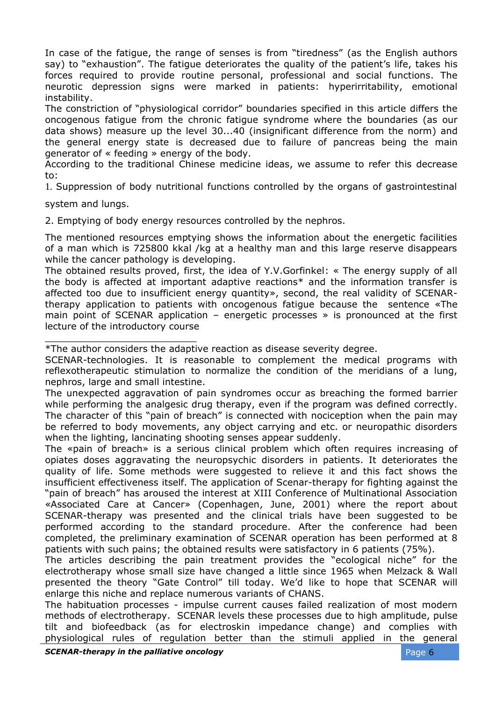In case of the fatigue, the range of senses is from "tiredness" (as the English authors say) to "exhaustion". The fatigue deteriorates the quality of the patient's life, takes his forces required to provide routine personal, professional and social functions. The neurotic depression signs were marked in patients: hyperirritability, emotional instability.

The constriction of "physiological corridor" boundaries specified in this article differs the oncogenous fatigue from the chronic fatigue syndrome where the boundaries (as our data shows) measure up the level 30...40 (insignificant difference from the norm) and the general energy state is decreased due to failure of pancreas being the main generator of « feeding » energy of the body.

According to the traditional Chinese medicine ideas, we assume to refer this decrease to:

1. Suppression of body nutritional functions controlled by the organs of gastrointestinal

system and lungs.

\_\_\_\_\_\_\_\_\_\_\_\_\_\_\_\_\_\_\_\_\_\_\_\_\_\_

2. Emptying of body energy resources controlled by the nephros.

The mentioned resources emptying shows the information about the energetic facilities of a man which is 725800 kkal /kg at a healthy man and this large reserve disappears while the cancer pathology is developing.

The obtained results proved, first, the idea of Y.V.Gorfinkel: « The energy supply of all the body is affected at important adaptive reactions\* and the information transfer is affected too due to insufficient energy quantity», second, the real validity of SCENARtherapy application to patients with oncogenous fatigue because the sentence «The main point of SCENAR application – energetic processes » is pronounced at the first lecture of the introductory course

SCENAR-technologies. It is reasonable to complement the medical programs with reflexotherapeutic stimulation to normalize the condition of the meridians of a lung, nephros, large and small intestine.

The unexpected aggravation of pain syndromes occur as breaching the formed barrier while performing the analgesic drug therapy, even if the program was defined correctly. The character of this "pain of breach" is connected with nociception when the pain may be referred to body movements, any object carrying and etc. or neuropathic disorders when the lighting, lancinating shooting senses appear suddenly.

The «pain of breach» is a serious clinical problem which often requires increasing of opiates doses aggravating the neuropsychic disorders in patients. It deteriorates the quality of life. Some methods were suggested to relieve it and this fact shows the insufficient effectiveness itself. The application of Scenar-therapy for fighting against the "pain of breach" has aroused the interest at XIII Conference of Multinational Association «Associated Care at Cancer» (Copenhagen, June, 2001) where the report about SCENAR-therapy was presented and the clinical trials have been suggested to be performed according to the standard procedure. After the conference had been completed, the preliminary examination of SCENAR operation has been performed at 8 patients with such pains; the obtained results were satisfactory in 6 patients (75%).

The articles describing the pain treatment provides the "ecological niche" for the electrotherapy whose small size have changed a little since 1965 when Melzack & Wall presented the theory "Gate Control" till today. We'd like to hope that SCENAR will enlarge this niche and replace numerous variants of CHANS.

The habituation processes - impulse current causes failed realization of most modern methods of electrotherapy. SCENAR levels these processes due to high amplitude, pulse tilt and biofeedback (as for electroskin impedance change) and complies with physiological rules of regulation better than the stimuli applied in the general

<sup>\*</sup>The author considers the adaptive reaction as disease severity degree.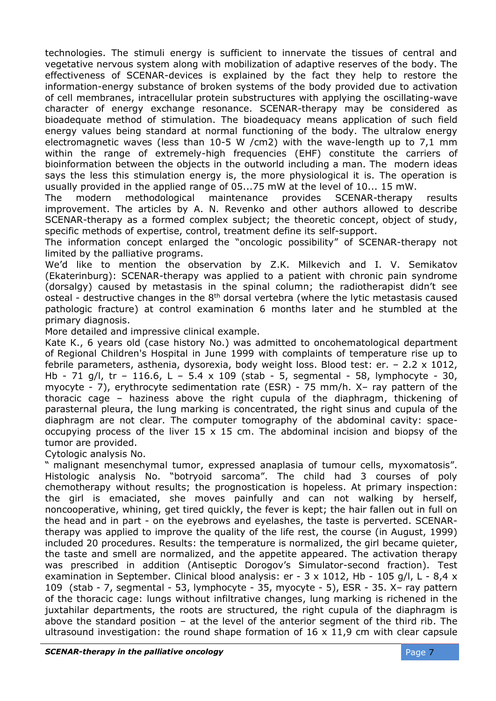technologies. The stimuli energy is sufficient to innervate the tissues of central and vegetative nervous system along with mobilization of adaptive reserves of the body. The effectiveness of SCENAR-devices is explained by the fact they help to restore the information-energy substance of broken systems of the body provided due to activation of cell membranes, intracellular protein substructures with applying the oscillating-wave character of energy exchange resonance. SCENAR-therapy may be considered as bioadequate method of stimulation. The bioadequacy means application of such field energy values being standard at normal functioning of the body. The ultralow energy electromagnetic waves (less than 10-5 W /сm2) with the wave-length up to 7,1 mm within the range of extremely-high frequencies (EHF) constitute the carriers of bioinformation between the objects in the outworld including a man. The modern ideas says the less this stimulation energy is, the more physiological it is. The operation is usually provided in the applied range of 05...75 mW at the level of 10... 15 mW.

The modern methodological maintenance provides SCENAR-therapy results improvement. The articles by A. N. Revenko and other authors allowed to describe SCENAR-therapy as a formed complex subject; the theoretic concept, object of study, specific methods of expertise, control, treatment define its self-support.

The information concept enlarged the "oncologic possibility" of SCENAR-therapy not limited by the palliative programs.

We'd like to mention the observation by Z.К. Milkevich and I. V. Semikatov (Ekaterinburg): SCENAR-therapy was applied to a patient with chronic pain syndrome (dorsalgy) caused by metastasis in the spinal column; the radiotherapist didn't see osteal - destructive changes in the  $8<sup>th</sup>$  dorsal vertebra (where the lytic metastasis caused pathologic fracture) at control examination 6 months later and he stumbled at the primary diagnosis.

More detailed and impressive clinical example.

Kate K., 6 years old (case history No.) was admitted to [oncohematological](http://www.multitran.ru/c/m.exe?t=4073163_1_2) department of Regional Children's Hospital in June 1999 with complaints of temperature rise up to febrile parameters, asthenia, dysorexia, body weight loss. Blood test: er. – 2.2 х 1012, Hb - 71 g/l, tr - 116.6, L - 5.4 x 109 (stab - 5, segmental - 58, lymphocyte - 30, myocyte - 7), erythrocyte sedimentation rate (ESR) - 75 mm/h. X– ray pattern of the thoracic cage – haziness above the right cupula of the diaphragm, thickening of parasternal pleura, the [lung marking](http://www.multitran.ru/c/m.exe?t=344571_1_2) is concentrated, the right sinus and cupula of the diaphragm are not clear. The computer tomography of the abdominal cavity: spaceoccupying process of the liver  $15 \times 15$  cm. The abdominal incision and biopsy of the tumor are provided.

Cytologic analysis No.

" malignant mesenchymal tumor, expressed anaplasia of tumour cells, myxomatosis". [Histologic analysis](http://www.multitran.ru/c/m.exe?t=3829820_1_2) No. "botryoid sarcoma". The child had 3 courses of poly chemotherapy without results; the prognostication is hopeless. At primary inspection: the girl is emaciated, [she moves painfully](http://www.multitran.ru/c/m.exe?t=3298020_1_2) and can not walking by herself, noncooperative, whining, get tired quickly, the fever is kept; the hair fallen out in full on the head and in part - on the eyebrows and eyelashes, the taste is perverted. SCENARtherapy was applied to improve the quality of the life rest, the course (in August, 1999) included 20 procedures. Results: the temperature is normalized, the girl became quieter, the taste and smell are normalized, and the appetite appeared. The activation therapy was prescribed in addition (Antiseptic Dorogov's Simulator-second fraction). Test examination in September. Clinical blood analysis: er - 3 x 1012, Hb - 105 g/l, L - 8,4 x 109 (stab - 7, segmental - 53, lymphocyte - 35, myocyte - 5), ESR - 35. X– ray pattern of the thoracic cage: lungs without infiltrative changes, lung marking is richened in the juxtahilar departments, the roots are structured, the right cupula of the diaphragm is above the standard position  $-$  at the level of the anterior segment of the third rib. The ultrasound investigation: the round shape formation of  $16 \times 11,9$  cm with clear capsule